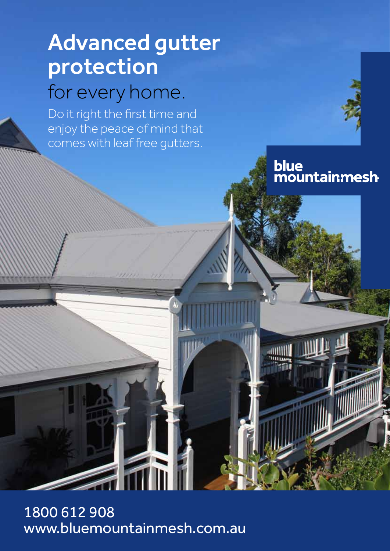# Advanced gutter protection for every home.

Do it right the first time and enjoy the peace of mind that comes with leaf free gutters.

blue<br>mountainmesh

1800 612 908 www.bluemountainmesh.com.au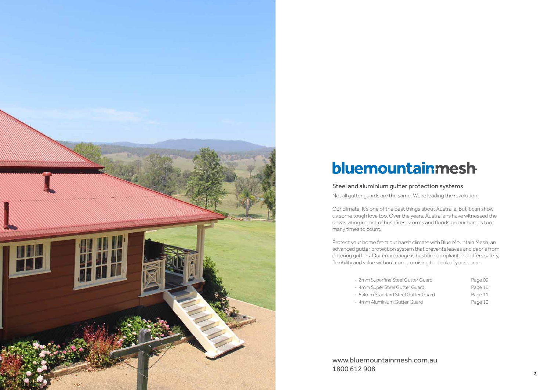#### Steel and aluminium gutter protection systems

Not all gutter guards are the same. We're leading the revolution.

Our climate. It's one of the best things about Australia. But it can show us some tough love too. Over the years, Australians have witnessed the devastating impact of bushfires, storms and floods on our homes too many times to count.

Protect your home from our harsh climate with Blue Mountain Mesh, an advanced gutter protection system that prevents leaves and debris from entering gutters. Our entire range is bushfire compliant and offers safety, flexibility and value without compromising the look of your home.

- 2mm Superfine Steel Gutter Guard Page 09
- 4mm Super Steel Gutter Guard Page 10
- 5.4mm Standard Steel Gutter Guard Page 11
- 4mm Aluminium Gutter Guard Page 13

www.bluemountainmesh.com.au 1800 612 908

| r Guard  |
|----------|
| iard     |
| er Guard |
| ard      |



# bluemountainmesh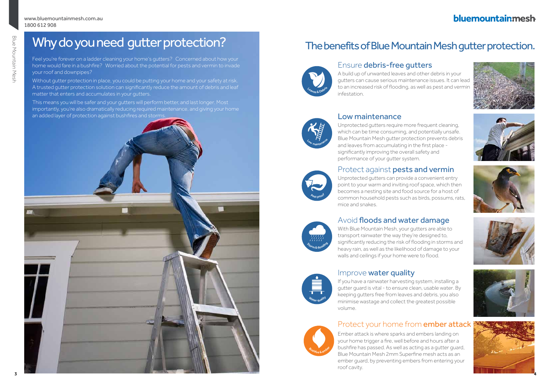# bluemountainmesh















# Why do you need gutter protection?

Feel you're forever on a ladder cleaning your home's gutters? Concerned about how your home would fare in a bushfire? Worried about the potential for pests and vermin to invade your roof and downpipes?

Without gutter protection in place, you could be putting your home and your safety at risk. A trusted gutter protection solution can significantly reduce the amount of debris and leaf matter that enters and accumulates in your gutters.

This means you will be safer and your gutters will perform better, and last longer. Most importantly, you're also dramatically reducing required maintenance, and giving your home an added layer of protection against bushfires and storms.

# The benefits of Blue Mountain Mesh gutter protection.

# Ensure debris-free gutters

A build up of unwanted leaves and other debris in your gutters can cause serious maintenance issues. It can lead to an increased risk of flooding, as well as pest and vermin infestation.

# Protect against pests and vermin



# Avoid floods and water damage

With Blue Mountain Mesh, your gutters are able to transport rainwater the way they're designed to, significantly reducing the risk of flooding in storms and heavy rain, as well as the likelihood of damage to your walls and ceilings if your home were to flood.

# Improve water quality

If you have a rainwater harvesting system, installing a gutter guard is vital - to ensure clean, usable water. By keeping gutters free from leaves and debris, you also minimise wastage and collect the greatest possible volume.

# Protect your home from **ember attack**

# Low maintenance

Unprotected gutters require more frequent cleaning, which can be time consuming, and potentially unsafe. Blue Mountain Mesh gutter protection prevents debris and leaves from accumulating in the first place significantly improving the overall safety and performance of your gutter system.

Ember attack is where sparks and embers landing on your home trigger a fire, well before and hours after a bushfire has passed. As well as acting as a gutter guard, Blue Mountain Mesh 2mm Superfine mesh acts as an ember guard, by preventing embers from entering your roof cavity.









Aest proof

Low maintenance

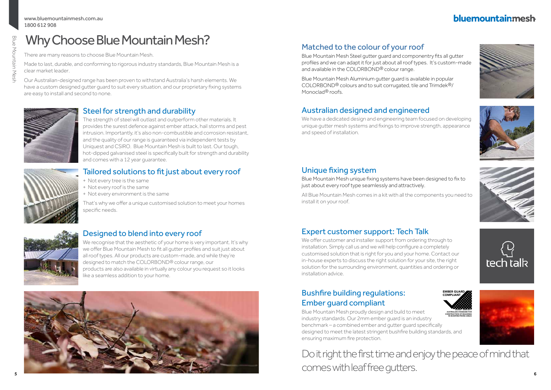# bluemountainmesh





- 
- 





#### www.bluemountainmesh.com.au 1800 612 908

# Why Choose Blue Mountain Mesh?

# Steel for strength and durability

The strength of steel will outlast and outperform other materials. It provides the surest defence against ember attack, hail storms and pest intrusion. Importantly, it's also non-combustible and corrosion resistant, and the quality of our range is guaranteed via independent tests by Uniquest and CSIRO. Blue Mountain Mesh is built to last. Our tough, hot-dipped galvanised steel is specifically built for strength and durability and comes with a 12 year guarantee.

# Designed to blend into every roof

Blue Mountain Mesh Aluminium gutter guard is available in popular COLORBOND® colours and to suit corrugated, tile and Trimdek®/ Monoclad<sup>®</sup> roofs.

We recognise that the aesthetic of your home is very important. It's why we offer Blue Mountain Mesh to fit all gutter profiles and suit just about all roof types. All our products are custom-made, and while they're designed to match the COLORBOND® colour range, our products are also available in virtually any colour you request so it looks like a seamless addition to your home.

# Matched to the colour of your roof

Blue Mountain Mesh Steel gutter guard and componentry fits all gutter profiles and we can adapt it for just about all roof types. It's custom-made and available in the COLORBOND® colour range.

# Tailored solutions to fit just about every roof

We offer customer and installer support from ordering through to installation. Simply call us and we will help configure a completely customised solution that is right for you and your home. Contact our in-house experts to discuss the right solution for your site, the right solution for the surrounding environment, quantities and ordering or installation advice.

- + Not every tree is the same
- + Not every roof is the same
- + Not every environment is the same

That's why we offer a unique customised solution to meet your homes specific needs.



There are many reasons to choose Blue Mountain Mesh.

Made to last, durable, and conforming to rigorous industry standards, Blue Mountain Mesh is a clear market leader.

Our Australian-designed range has been proven to withstand Australia's harsh elements. We have a custom designed gutter guard to suit every situation, and our proprietary fixing systems are easy to install and second to none.



# Australian designed and engineered

We have a dedicated design and engineering team focused on developing unique gutter mesh systems and fixings to improve strength, appearance and speed of installation.

# Unique fixing system

Blue Mountain Mesh unique fixing systems have been designed to fix to just about every roof type seamlessly and attractively.

All Blue Mountain Mesh comes in a kit with all the components you need to install it on your roof.

# Expert customer support: Tech Talk

# Bushfire building regulations: Ember guard compliant

Blue Mountain Mesh proudly design and build to meet industry standards. Our 2mm ember guard is an industry benchmark – a combined ember and gutter guard specifically designed to meet the latest stringent bushfire building standards, and ensuring maximum fire protection. IN BUSHFIRE-PRONE AREAS

Do it right the first time and enjoy the peace of mind that comes with leaf free gutters.





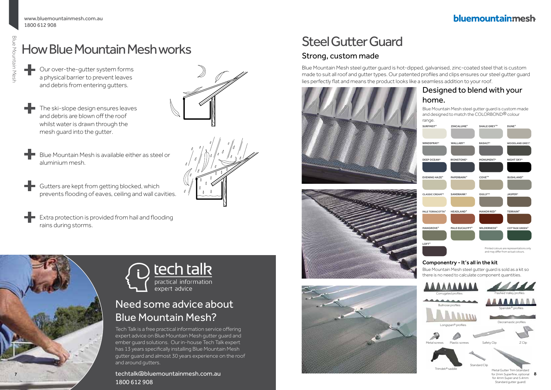31

# How Blue Mountain Mesh works

- ÷ Our over-the-gutter system forms a physical barrier to prevent leaves and debris from entering gutters.
	- The ski-slope design ensures leaves and debris are blown off the roof whilst water is drawn through the mesh guard into the gutter.
	- Blue Mountain Mesh is available either as steel or aluminium mesh.
- Gutters are kept from getting blocked, which ÷ prevents flooding of eaves, ceiling and wall cavities.
	- Extra protection is provided from hail and flooding rains during storms.





# tech talk practical information expert advice

# Need some advice about Blue Mountain Mesh?

Tech Talk is a free practical information service offering expert advice on Blue Mountain Mesh gutter guard and ember guard solutions. Our in-house Tech Talk expert has 13 years specifically installing Blue Mountain Mesh gutter guard and almost 30 years experience on the roof and around gutters.

# 1800 612 908

# Steel Gutter Guard

# Strong, custom made

Blue Mountain Mesh steel gutter guard is hot-dipped, galvanised, zinc-coated steel that is custom made to suit all roof and gutter types. Our patented profiles and clips ensures our steel gutter guard lies perfectly flat and means the product looks like a seamless addition to your roof.







# bluemountainmesh

#### Designed to blend with your home. Blue Mountain Mesh steel gutter guard is custom made and designed to match the COLORBOND® colour range. Printed colours are representations or and may differ from actual colours. **WALLABY® PAPERBARK® ZINCALUME® IRONSTONE® MANOR RED® JASPER® PALE TERRACOTTA® Headland® GULLYTM DEEP OCEAN® WINDSPRAY® SURFMIST® CLASSIC CREAMTM TERRAIN® WOODLAND GREY® DUNE® NIGHT SKY® BUSHLAND® COTTAGE GREEN® PALE EUCALYPT® WILDERNESS® COTTAGE GREEN® BASALT® MONUMENT® COVETM SHALE GREYT LOFT® SANDBANK® EVENING HAZE®**

#### Componentry - It's all in the kit

Blue Mountain Mesh steel gutter guard is sold as a kit so there is no need to calculate component quantities.

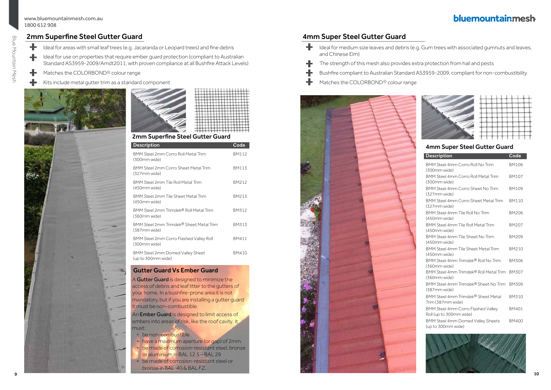# 2mm Superfine Steel Gutter Guard

| <b>Description</b>                                      | $\overline{\text{Code}}$ |
|---------------------------------------------------------|--------------------------|
| BMM Steel 2mm Corro Roll Metal Trim<br>(300mm wide)     | <b>BM112</b>             |
| BMM Steel 2mm Corro Sheet Metal Trim<br>(327mm wide)    | <b>BM113</b>             |
| BMM Steel 2mm Tile Roll Metal Trim<br>(450mm wide)      | BM212                    |
| BMM Steel 2mm Tile Sheet Metal Trim<br>(450mm wide)     | <b>BM213</b>             |
| BMM Steel 2mm Trimdek® Roll Metal Trim<br>(360mm wide)  | <b>BM312</b>             |
| BMM Steel 2mm Trimdek® Sheet Metal Trim<br>(387mm wide) | <b>BM313</b>             |
| BMM Steel 2mm Corro Flashed Valley Roll<br>(300mm wide) | <b>BM411</b>             |
| BMM Steel 2mm Domed Valley Sheet<br>(up to 300mm wide)  | BM410                    |

- ╋ Ideal for areas with small leaf trees (e.g. Jacaranda or Leopard trees) and fine debris
- ╋ Ideal for use on properties that require ember guard protection (compliant to Australian Standard AS3959-2009/Amdt2011, with proven compliance at all Bushfire Attack Levels)
- ÷ Matches the COLORBOND® colour range
- Kits include metal gutter trim as a standard component



|     | ٠ |        |          |        | ١      |   |   |           |         |   |    |   |        |    |
|-----|---|--------|----------|--------|--------|---|---|-----------|---------|---|----|---|--------|----|
|     |   |        |          |        |        |   |   |           |         |   |    |   |        |    |
|     |   |        |          |        |        |   | p |           |         |   |    |   |        |    |
|     |   |        |          |        |        |   | ٦ |           |         |   | t, |   |        |    |
|     |   |        |          |        |        |   |   |           |         |   |    |   |        |    |
| . . |   | .<br>г | т<br>- 1 | т<br>Ξ | .<br>т | т | π | 11.<br>ΤТ | Ŀ.<br>π | г | г  | г | ÷<br>7 | TТ |

### 2mm Superfine Steel Gutter Guard

An **Ember Guard** is designed to limit access of embers into areas of risk, like the roof cavity. It must:

### Gutter Guard Vs Ember Guard

A Gutter Guard is designed to minimize the access of debris and leaf litter to the gutters of your home. In a bushfire-prone area it is not mandatory, but if you are installing a gutter guard it must be non-combustible.

- ÷. and Chinese Elm)
- The strength of this mesh also provides extra protection from hail and pests
- 
- Matches the COLORBOND® colour range

- + be non-combustible
- + have a maximum aperture (or gap) of 2mm.
- + be made of corrosion-resistant steel, bronze
- or aluminium in BAL 12.5 BAL 29
- + be made of corrosion-resistant steel or bronze in BAL 40 & BAL FZ.



# bluemountainmesh

#### 4mm Super Steel Gutter Guard

| Code         |
|--------------|
| <b>BM106</b> |
| <b>BM107</b> |
| <b>BM109</b> |
| <b>BM110</b> |
| BM206        |
| <b>BM207</b> |
| <b>BM209</b> |
| <b>BM210</b> |
| BM306        |
| <b>BM307</b> |
| <b>BM309</b> |
| <b>BM310</b> |
| <b>BM401</b> |
| <b>BM400</b> |
|              |



# 4mm Super Steel Gutter Guard

Ideal for medium size leaves and debris (e.g. Gum trees with associated gumnuts and leaves,

Bushfire compliant to Australian Standard AS3959-2009, compliant for non-combustibility

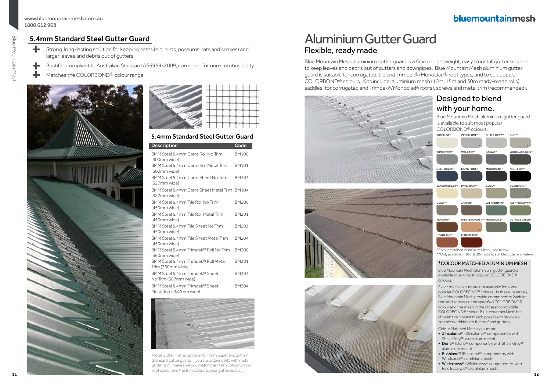# bluemountainmesh

Blue Mountain Mesh aluminium gutter guard is a flexible, lightweight, easy to install gutter solution to keep leaves and debris out of gutters and downpipes. Blue Mountain Mesh aluminium gutter guard is suitable for corrugated, tile and Trimdek®/Monoclad® roof types, and to suit popular COLORBOND® colours. Kits include; aluminium mesh (10m, 15m and 30m ready-made rolls), saddles (for corrugated and Trimdek®/Monoclad® roofs), screws and metal trim (recommended).







# Aluminium Gutter Guard Flexible, ready made

#### \*COLOUR MATCHED ALUMINIUM MESH

- + Zincalume® (Zincalume® componentry with Shale Grey™ aluminium mesh)
- + Dune® (Dune® componentry with Shale Grey™ aluminium mesh)
- + Bushland® (Bushland® componentry with Windspray® aluminium mesh)
- + Wilderness® (Wilderness® componentry with Pale Eucalypt® aluminium mesh).



Blue Mountain Mesh aluminium gutter guard is available to suit most popular COLORBOND® colours.

Exact mesh colours are not available for some popular COLORBOND® colours. In these instances, Blue Mountain Mesh provide componentry (saddles, trim and screws) in the specified COLORBOND® colour and the mesh in the closest compatible COLORBOND® colour. Blue Mountain Mesh has chosen the closest match possible to provide a seamless addition to the roof and gutters.

- ÷ Strong, long-lasting solution for keeping pests (e.g. birds, possums, rats and snakes) and larger leaves and debris out of gutters
- ÷ Bushfire compliant to Australian Standard AS3959-2009, compliant for non-combustibility
	- Matches the COLORBOND® colour range

Colour Matched Mesh colours are;



\*Colour Matched Aluminium Mesh - see below

\*\*Only available in 10m & 30m rolls to suit tile gutter and valleys





# 5.4mm Standard Steel Gutter Guard

| <b>Description</b>                                           | Code         |
|--------------------------------------------------------------|--------------|
| BMM Steel 5.4mm Corro Roll No Trim<br>(300mm wide)           | <b>BM100</b> |
| BMM Steel 5.4mm Corro Roll Metal Trim<br>(300mm wide)        | <b>BM101</b> |
| BMM Steel 5.4mm Corro Sheet No Trim<br>(327mm wide)          | BM103        |
| BMM Steel 5.4mm Corro Sheet Metal Trim BM104<br>(327mm wide) |              |
| BMM Steel 5.4mm Tile Roll No Trim<br>(450mm wide)            | BM200        |
| BMM Steel 5.4mm Tile Roll Metal Trim<br>(450mm wide)         | BM201        |
| BMM Steel 5.4mm Tile Sheet No Trim<br>(450mm wide)           | BM203        |
| BMM Steel 5.4mm Tile Sheet Metal Trim<br>(450mm wide)        | BM204        |
| BMM Steel 5.4mm Trimdek® Roll No Trim<br>(360mm wide)        | BM300        |
| BMM Steel 5.4mm Trimdek® Roll Metal<br>Trim (360mm wide)     | BM301        |
| BMM Steel 5.4mm Trimdek® Sheet<br>No Trim (387mm wide)       | BM303        |
| BMM Steel 5 4mm Trimdek® Sheet<br>Metal Trim (387mm wide)    | BM304        |

### 5.4mm Standard Steel Gutter Guard



Metal Gutter Trim is optional for 4mm Super and 5.4mm Standard gutter guard. If you are ordering kits with metal gutter trim, make sure you match the mesh colour to your roof colour and the trim colour to your gutter colour.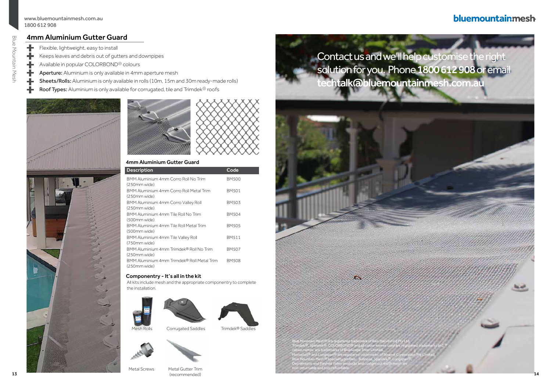Blue Mountain Mesh

**Blue Mountain Mesh** 

# bluemountainmesh



13 (recommended) and the commended of the commended of the commended of the commended of the commended of the commended of the commended of the commended of the commended of the commended of the commended of the commended Metal Gutter Trim (recommended)

### 4mm Aluminium Gutter Guard

| <b>Description</b>                                         | Code         |
|------------------------------------------------------------|--------------|
| BMM Aluminium 4mm Corro Roll No Trim<br>(250mm wide)       | BM500        |
| BMM Aluminium 4mm Corro Roll Metal Trim<br>(250mm wide)    | <b>BM501</b> |
| BMM Aluminium 4mm Corro Valley Roll<br>(250mm wide)        | BM503        |
| BMM Aluminium 4mm Tile Roll No Trim<br>(500mm wide)        | BM504        |
| BMM Aluminium 4mm Tile Roll Metal Trim<br>(500mm wide)     | BM505        |
| BMM Aluminium 4mm Tile Valley Roll<br>(750mm wide)         | BM511        |
| BMM Aluminium 4mm Trimdek® Roll No Trim<br>(250mm wide)    | <b>BM507</b> |
| BMM Aluminium 4mm Trimdek® Roll Metal Trim<br>(250mm wide) | <b>BM508</b> |

## 4mm Aluminium Gutter Guard

- ÷ Flexible, lightweight, easy to install
- 十 Keeps leaves and debris out of gutters and downpipes
- Available in popular COLORBOND® colours ╋
- ╋ Aperture: Aluminium is only available in 4mm aperture mesh
- Sheets/Rolls: Aluminium is only available in rolls (10m, 15m and 30m ready-made rolls) ╋
- Roof Types: Aluminium is only available for corrugated, tile and Trimdek<sup>®</sup> roofs





#### Componentry - It's all in the kit







Mesh Rolls Corrugated Saddles Trimdek<sup>®</sup> Saddles





Metal Screws